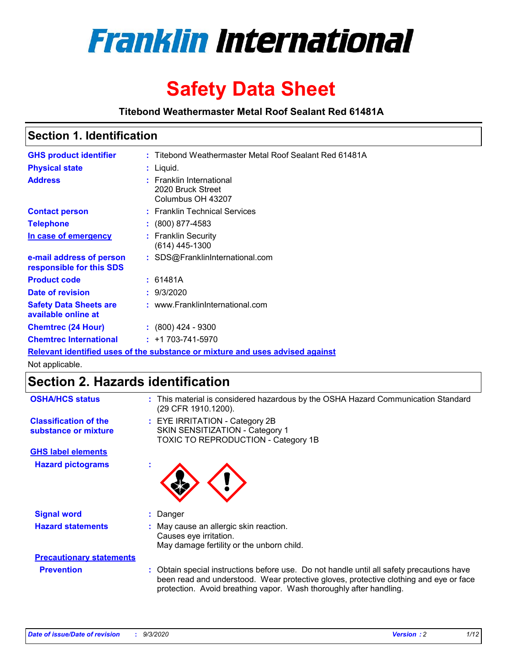

# **Safety Data Sheet**

**Titebond Weathermaster Metal Roof Sealant Red 61481A**

### **Section 1. Identification**

| <b>GHS product identifier</b>                                                 |  | : Titebond Weathermaster Metal Roof Sealant Red 61481A             |  |  |
|-------------------------------------------------------------------------------|--|--------------------------------------------------------------------|--|--|
| <b>Physical state</b>                                                         |  | : Liquid.                                                          |  |  |
| <b>Address</b>                                                                |  | : Franklin International<br>2020 Bruck Street<br>Columbus OH 43207 |  |  |
| <b>Contact person</b>                                                         |  | : Franklin Technical Services                                      |  |  |
| <b>Telephone</b>                                                              |  | $\div$ (800) 877-4583                                              |  |  |
| In case of emergency                                                          |  | : Franklin Security<br>$(614)$ 445-1300                            |  |  |
| e-mail address of person<br>responsible for this SDS                          |  | : SDS@FranklinInternational.com                                    |  |  |
| <b>Product code</b>                                                           |  | : 61481A                                                           |  |  |
| Date of revision                                                              |  | : 9/3/2020                                                         |  |  |
| <b>Safety Data Sheets are</b><br>available online at                          |  | : www.FranklinInternational.com                                    |  |  |
| <b>Chemtrec (24 Hour)</b>                                                     |  | $: (800)$ 424 - 9300                                               |  |  |
| <b>Chemtrec International</b>                                                 |  | $: +1703 - 741 - 5970$                                             |  |  |
| Relevant identified uses of the substance or mixture and uses advised against |  |                                                                    |  |  |

Not applicable.

### **Section 2. Hazards identification**

| <b>OSHA/HCS status</b>                               |    | : This material is considered hazardous by the OSHA Hazard Communication Standard<br>(29 CFR 1910.1200).                                                                                                                                                 |
|------------------------------------------------------|----|----------------------------------------------------------------------------------------------------------------------------------------------------------------------------------------------------------------------------------------------------------|
| <b>Classification of the</b><br>substance or mixture |    | : EYE IRRITATION - Category 2B<br>SKIN SENSITIZATION - Category 1<br>TOXIC TO REPRODUCTION - Category 1B                                                                                                                                                 |
| <b>GHS label elements</b>                            |    |                                                                                                                                                                                                                                                          |
| <b>Hazard pictograms</b>                             | ٠  |                                                                                                                                                                                                                                                          |
| <b>Signal word</b>                                   | ÷. | Danger                                                                                                                                                                                                                                                   |
| <b>Hazard statements</b>                             |    | May cause an allergic skin reaction.<br>Causes eye irritation.<br>May damage fertility or the unborn child.                                                                                                                                              |
| <b>Precautionary statements</b>                      |    |                                                                                                                                                                                                                                                          |
| <b>Prevention</b>                                    |    | : Obtain special instructions before use. Do not handle until all safety precautions have<br>been read and understood. Wear protective gloves, protective clothing and eye or face<br>protection. Avoid breathing vapor. Wash thoroughly after handling. |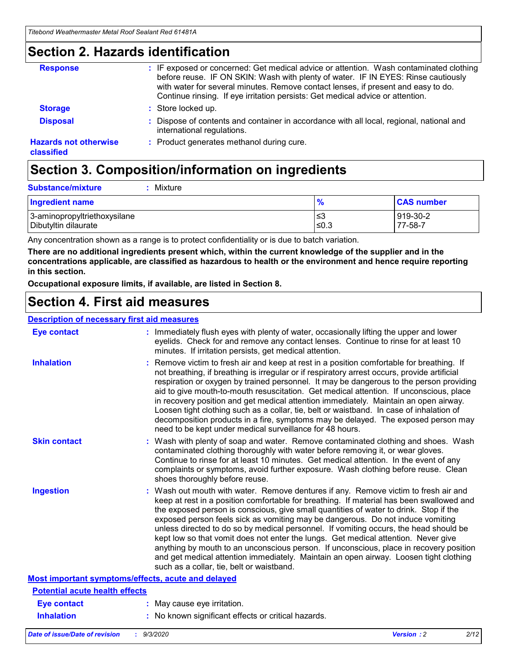### **Section 2. Hazards identification**

| <b>Response</b>                            | : IF exposed or concerned: Get medical advice or attention. Wash contaminated clothing<br>before reuse. IF ON SKIN: Wash with plenty of water. IF IN EYES: Rinse cautiously<br>with water for several minutes. Remove contact lenses, if present and easy to do.<br>Continue rinsing. If eye irritation persists: Get medical advice or attention. |
|--------------------------------------------|----------------------------------------------------------------------------------------------------------------------------------------------------------------------------------------------------------------------------------------------------------------------------------------------------------------------------------------------------|
| <b>Storage</b>                             | : Store locked up.                                                                                                                                                                                                                                                                                                                                 |
| <b>Disposal</b>                            | : Dispose of contents and container in accordance with all local, regional, national and<br>international regulations.                                                                                                                                                                                                                             |
| <b>Hazards not otherwise</b><br>classified | : Product generates methanol during cure.                                                                                                                                                                                                                                                                                                          |

# **Section 3. Composition/information on ingredients**

| <b>Substance/mixture</b> | Mixture |
|--------------------------|---------|
|                          |         |

| <b>Ingredient name</b>       | $\frac{9}{6}$ | <b>CAS number</b> |
|------------------------------|---------------|-------------------|
| 3-aminopropyltriethoxysilane | ՝≤3           | 919-30-2          |
| Dibutyltin dilaurate         | ∣≤0.3         | 77-58-7           |

Any concentration shown as a range is to protect confidentiality or is due to batch variation.

**There are no additional ingredients present which, within the current knowledge of the supplier and in the concentrations applicable, are classified as hazardous to health or the environment and hence require reporting in this section.**

**Occupational exposure limits, if available, are listed in Section 8.**

### **Section 4. First aid measures**

| <b>Description of necessary first aid measures</b> |                                                                                                                                                                                                                                                                                                                                                                                                                                                                                                                                                                                                                                                                                                                                                                           |
|----------------------------------------------------|---------------------------------------------------------------------------------------------------------------------------------------------------------------------------------------------------------------------------------------------------------------------------------------------------------------------------------------------------------------------------------------------------------------------------------------------------------------------------------------------------------------------------------------------------------------------------------------------------------------------------------------------------------------------------------------------------------------------------------------------------------------------------|
| <b>Eye contact</b>                                 | : Immediately flush eyes with plenty of water, occasionally lifting the upper and lower<br>eyelids. Check for and remove any contact lenses. Continue to rinse for at least 10<br>minutes. If irritation persists, get medical attention.                                                                                                                                                                                                                                                                                                                                                                                                                                                                                                                                 |
| <b>Inhalation</b>                                  | : Remove victim to fresh air and keep at rest in a position comfortable for breathing. If<br>not breathing, if breathing is irregular or if respiratory arrest occurs, provide artificial<br>respiration or oxygen by trained personnel. It may be dangerous to the person providing<br>aid to give mouth-to-mouth resuscitation. Get medical attention. If unconscious, place<br>in recovery position and get medical attention immediately. Maintain an open airway.<br>Loosen tight clothing such as a collar, tie, belt or waistband. In case of inhalation of<br>decomposition products in a fire, symptoms may be delayed. The exposed person may<br>need to be kept under medical surveillance for 48 hours.                                                       |
| <b>Skin contact</b>                                | : Wash with plenty of soap and water. Remove contaminated clothing and shoes. Wash<br>contaminated clothing thoroughly with water before removing it, or wear gloves.<br>Continue to rinse for at least 10 minutes. Get medical attention. In the event of any<br>complaints or symptoms, avoid further exposure. Wash clothing before reuse. Clean<br>shoes thoroughly before reuse.                                                                                                                                                                                                                                                                                                                                                                                     |
| <b>Ingestion</b>                                   | : Wash out mouth with water. Remove dentures if any. Remove victim to fresh air and<br>keep at rest in a position comfortable for breathing. If material has been swallowed and<br>the exposed person is conscious, give small quantities of water to drink. Stop if the<br>exposed person feels sick as vomiting may be dangerous. Do not induce vomiting<br>unless directed to do so by medical personnel. If vomiting occurs, the head should be<br>kept low so that vomit does not enter the lungs. Get medical attention. Never give<br>anything by mouth to an unconscious person. If unconscious, place in recovery position<br>and get medical attention immediately. Maintain an open airway. Loosen tight clothing<br>such as a collar, tie, belt or waistband. |
| Most important symptoms/effects, acute and delayed |                                                                                                                                                                                                                                                                                                                                                                                                                                                                                                                                                                                                                                                                                                                                                                           |
| <b>Potential acute health effects</b>              |                                                                                                                                                                                                                                                                                                                                                                                                                                                                                                                                                                                                                                                                                                                                                                           |
| <b>Eye contact</b>                                 | : May cause eye irritation.                                                                                                                                                                                                                                                                                                                                                                                                                                                                                                                                                                                                                                                                                                                                               |
| <b>Inhalation</b>                                  | : No known significant effects or critical hazards.                                                                                                                                                                                                                                                                                                                                                                                                                                                                                                                                                                                                                                                                                                                       |
|                                                    |                                                                                                                                                                                                                                                                                                                                                                                                                                                                                                                                                                                                                                                                                                                                                                           |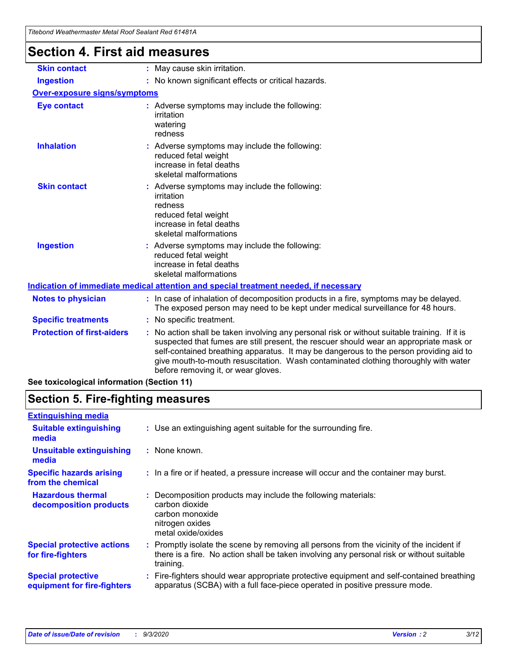| Titebond Weathermaster Metal Roof Sealant Red 61481A |                                                                                                                                                                                                                                                                                                                                                                                                               |  |  |  |
|------------------------------------------------------|---------------------------------------------------------------------------------------------------------------------------------------------------------------------------------------------------------------------------------------------------------------------------------------------------------------------------------------------------------------------------------------------------------------|--|--|--|
| <b>Section 4. First aid measures</b>                 |                                                                                                                                                                                                                                                                                                                                                                                                               |  |  |  |
| <b>Skin contact</b>                                  | : May cause skin irritation.                                                                                                                                                                                                                                                                                                                                                                                  |  |  |  |
| <b>Ingestion</b>                                     | : No known significant effects or critical hazards.                                                                                                                                                                                                                                                                                                                                                           |  |  |  |
| <b>Over-exposure signs/symptoms</b>                  |                                                                                                                                                                                                                                                                                                                                                                                                               |  |  |  |
| <b>Eye contact</b>                                   | : Adverse symptoms may include the following:<br>irritation<br>watering<br>redness                                                                                                                                                                                                                                                                                                                            |  |  |  |
| <b>Inhalation</b>                                    | : Adverse symptoms may include the following:<br>reduced fetal weight<br>increase in fetal deaths<br>skeletal malformations                                                                                                                                                                                                                                                                                   |  |  |  |
| <b>Skin contact</b>                                  | : Adverse symptoms may include the following:<br>irritation<br>redness<br>reduced fetal weight<br>increase in fetal deaths<br>skeletal malformations                                                                                                                                                                                                                                                          |  |  |  |
| <b>Ingestion</b>                                     | Adverse symptoms may include the following:<br>reduced fetal weight<br>increase in fetal deaths<br>skeletal malformations                                                                                                                                                                                                                                                                                     |  |  |  |
|                                                      | Indication of immediate medical attention and special treatment needed, if necessary                                                                                                                                                                                                                                                                                                                          |  |  |  |
| <b>Notes to physician</b>                            | : In case of inhalation of decomposition products in a fire, symptoms may be delayed.<br>The exposed person may need to be kept under medical surveillance for 48 hours.                                                                                                                                                                                                                                      |  |  |  |
| <b>Specific treatments</b>                           | : No specific treatment.                                                                                                                                                                                                                                                                                                                                                                                      |  |  |  |
| <b>Protection of first-aiders</b>                    | No action shall be taken involving any personal risk or without suitable training. If it is<br>suspected that fumes are still present, the rescuer should wear an appropriate mask or<br>self-contained breathing apparatus. It may be dangerous to the person providing aid to<br>give mouth-to-mouth resuscitation. Wash contaminated clothing thoroughly with water<br>before removing it, or wear gloves. |  |  |  |
| See toxicological information (Section 11)           |                                                                                                                                                                                                                                                                                                                                                                                                               |  |  |  |

### **Section 5. Fire-fighting measures**

| <b>Extinguishing media</b>                               |                                                                                                                                                                                                     |
|----------------------------------------------------------|-----------------------------------------------------------------------------------------------------------------------------------------------------------------------------------------------------|
| <b>Suitable extinguishing</b><br>media                   | : Use an extinguishing agent suitable for the surrounding fire.                                                                                                                                     |
| <b>Unsuitable extinguishing</b><br>media                 | : None known.                                                                                                                                                                                       |
| <b>Specific hazards arising</b><br>from the chemical     | : In a fire or if heated, a pressure increase will occur and the container may burst.                                                                                                               |
| <b>Hazardous thermal</b><br>decomposition products       | Decomposition products may include the following materials:<br>carbon dioxide<br>carbon monoxide<br>nitrogen oxides<br>metal oxide/oxides                                                           |
| <b>Special protective actions</b><br>for fire-fighters   | : Promptly isolate the scene by removing all persons from the vicinity of the incident if<br>there is a fire. No action shall be taken involving any personal risk or without suitable<br>training. |
| <b>Special protective</b><br>equipment for fire-fighters | Fire-fighters should wear appropriate protective equipment and self-contained breathing<br>apparatus (SCBA) with a full face-piece operated in positive pressure mode.                              |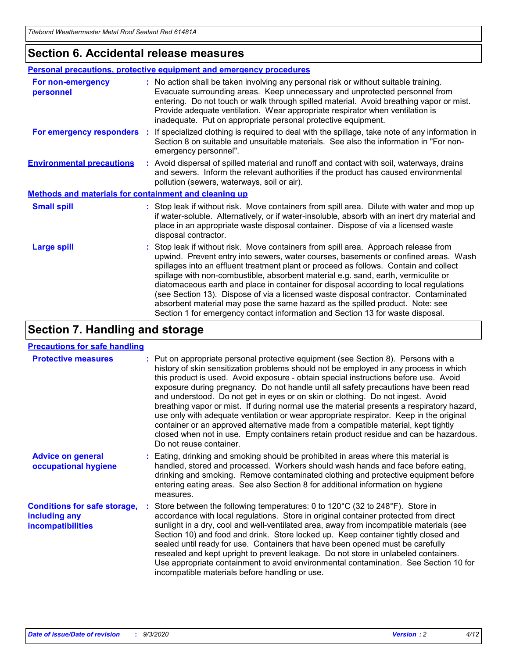### **Section 6. Accidental release measures**

|                                                       | Personal precautions, protective equipment and emergency procedures                                                                                                                                                                                                                                                                                                                                                                                                                                                                                                                                                                                                                                          |  |  |  |
|-------------------------------------------------------|--------------------------------------------------------------------------------------------------------------------------------------------------------------------------------------------------------------------------------------------------------------------------------------------------------------------------------------------------------------------------------------------------------------------------------------------------------------------------------------------------------------------------------------------------------------------------------------------------------------------------------------------------------------------------------------------------------------|--|--|--|
| For non-emergency<br>personnel                        | : No action shall be taken involving any personal risk or without suitable training.<br>Evacuate surrounding areas. Keep unnecessary and unprotected personnel from<br>entering. Do not touch or walk through spilled material. Avoid breathing vapor or mist.<br>Provide adequate ventilation. Wear appropriate respirator when ventilation is<br>inadequate. Put on appropriate personal protective equipment.                                                                                                                                                                                                                                                                                             |  |  |  |
| For emergency responders                              | : If specialized clothing is required to deal with the spillage, take note of any information in<br>Section 8 on suitable and unsuitable materials. See also the information in "For non-<br>emergency personnel".                                                                                                                                                                                                                                                                                                                                                                                                                                                                                           |  |  |  |
| <b>Environmental precautions</b>                      | : Avoid dispersal of spilled material and runoff and contact with soil, waterways, drains<br>and sewers. Inform the relevant authorities if the product has caused environmental<br>pollution (sewers, waterways, soil or air).                                                                                                                                                                                                                                                                                                                                                                                                                                                                              |  |  |  |
| Methods and materials for containment and cleaning up |                                                                                                                                                                                                                                                                                                                                                                                                                                                                                                                                                                                                                                                                                                              |  |  |  |
| <b>Small spill</b>                                    | : Stop leak if without risk. Move containers from spill area. Dilute with water and mop up<br>if water-soluble. Alternatively, or if water-insoluble, absorb with an inert dry material and<br>place in an appropriate waste disposal container. Dispose of via a licensed waste<br>disposal contractor.                                                                                                                                                                                                                                                                                                                                                                                                     |  |  |  |
| <b>Large spill</b>                                    | : Stop leak if without risk. Move containers from spill area. Approach release from<br>upwind. Prevent entry into sewers, water courses, basements or confined areas. Wash<br>spillages into an effluent treatment plant or proceed as follows. Contain and collect<br>spillage with non-combustible, absorbent material e.g. sand, earth, vermiculite or<br>diatomaceous earth and place in container for disposal according to local regulations<br>(see Section 13). Dispose of via a licensed waste disposal contractor. Contaminated<br>absorbent material may pose the same hazard as the spilled product. Note: see<br>Section 1 for emergency contact information and Section 13 for waste disposal. |  |  |  |

### **Section 7. Handling and storage**

#### **Precautions for safe handling**

| <b>Protective measures</b>                                                       | : Put on appropriate personal protective equipment (see Section 8). Persons with a<br>history of skin sensitization problems should not be employed in any process in which<br>this product is used. Avoid exposure - obtain special instructions before use. Avoid<br>exposure during pregnancy. Do not handle until all safety precautions have been read<br>and understood. Do not get in eyes or on skin or clothing. Do not ingest. Avoid<br>breathing vapor or mist. If during normal use the material presents a respiratory hazard,<br>use only with adequate ventilation or wear appropriate respirator. Keep in the original<br>container or an approved alternative made from a compatible material, kept tightly<br>closed when not in use. Empty containers retain product residue and can be hazardous.<br>Do not reuse container. |
|----------------------------------------------------------------------------------|--------------------------------------------------------------------------------------------------------------------------------------------------------------------------------------------------------------------------------------------------------------------------------------------------------------------------------------------------------------------------------------------------------------------------------------------------------------------------------------------------------------------------------------------------------------------------------------------------------------------------------------------------------------------------------------------------------------------------------------------------------------------------------------------------------------------------------------------------|
| <b>Advice on general</b><br>occupational hygiene                                 | : Eating, drinking and smoking should be prohibited in areas where this material is<br>handled, stored and processed. Workers should wash hands and face before eating,<br>drinking and smoking. Remove contaminated clothing and protective equipment before<br>entering eating areas. See also Section 8 for additional information on hygiene<br>measures.                                                                                                                                                                                                                                                                                                                                                                                                                                                                                    |
| <b>Conditions for safe storage,</b><br>including any<br><i>incompatibilities</i> | Store between the following temperatures: 0 to $120^{\circ}$ C (32 to $248^{\circ}$ F). Store in<br>accordance with local regulations. Store in original container protected from direct<br>sunlight in a dry, cool and well-ventilated area, away from incompatible materials (see<br>Section 10) and food and drink. Store locked up. Keep container tightly closed and<br>sealed until ready for use. Containers that have been opened must be carefully<br>resealed and kept upright to prevent leakage. Do not store in unlabeled containers.<br>Use appropriate containment to avoid environmental contamination. See Section 10 for<br>incompatible materials before handling or use.                                                                                                                                                     |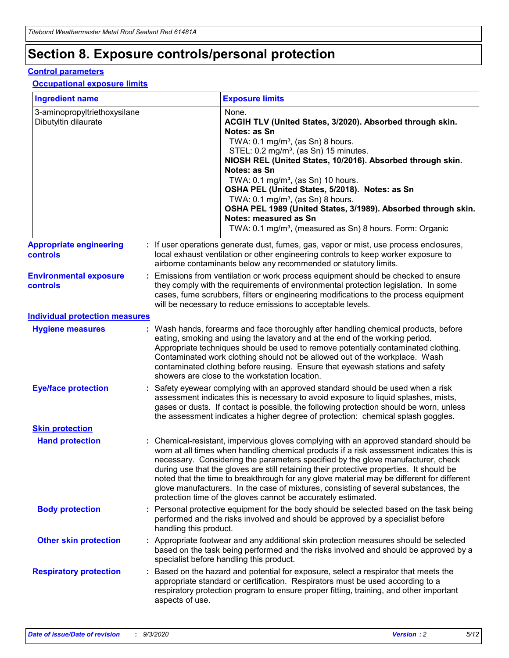# **Section 8. Exposure controls/personal protection**

#### **Control parameters**

#### **Occupational exposure limits**

| <b>Ingredient name</b>                               |    |                        | <b>Exposure limits</b>                                                                                                                                                                                                                                                                                                                                                                                                                                                                                                                                                                                                 |
|------------------------------------------------------|----|------------------------|------------------------------------------------------------------------------------------------------------------------------------------------------------------------------------------------------------------------------------------------------------------------------------------------------------------------------------------------------------------------------------------------------------------------------------------------------------------------------------------------------------------------------------------------------------------------------------------------------------------------|
| 3-aminopropyltriethoxysilane<br>Dibutyltin dilaurate |    |                        | None.<br>ACGIH TLV (United States, 3/2020). Absorbed through skin.<br>Notes: as Sn<br>TWA: 0.1 mg/m <sup>3</sup> , (as Sn) 8 hours.<br>STEL: 0.2 mg/m <sup>3</sup> , (as Sn) 15 minutes.<br>NIOSH REL (United States, 10/2016). Absorbed through skin.<br>Notes: as Sn<br>TWA: 0.1 mg/m <sup>3</sup> , (as Sn) 10 hours.<br>OSHA PEL (United States, 5/2018). Notes: as Sn<br>TWA: $0.1 \text{ mg/m}^3$ , (as Sn) 8 hours.<br>OSHA PEL 1989 (United States, 3/1989). Absorbed through skin.<br>Notes: measured as Sn<br>TWA: 0.1 mg/m <sup>3</sup> , (measured as Sn) 8 hours. Form: Organic                           |
| <b>Appropriate engineering</b><br>controls           |    |                        | : If user operations generate dust, fumes, gas, vapor or mist, use process enclosures,<br>local exhaust ventilation or other engineering controls to keep worker exposure to<br>airborne contaminants below any recommended or statutory limits.                                                                                                                                                                                                                                                                                                                                                                       |
| <b>Environmental exposure</b><br><b>controls</b>     |    |                        | Emissions from ventilation or work process equipment should be checked to ensure<br>they comply with the requirements of environmental protection legislation. In some<br>cases, fume scrubbers, filters or engineering modifications to the process equipment<br>will be necessary to reduce emissions to acceptable levels.                                                                                                                                                                                                                                                                                          |
| <b>Individual protection measures</b>                |    |                        |                                                                                                                                                                                                                                                                                                                                                                                                                                                                                                                                                                                                                        |
| <b>Hygiene measures</b>                              |    |                        | : Wash hands, forearms and face thoroughly after handling chemical products, before<br>eating, smoking and using the lavatory and at the end of the working period.<br>Appropriate techniques should be used to remove potentially contaminated clothing.<br>Contaminated work clothing should not be allowed out of the workplace. Wash<br>contaminated clothing before reusing. Ensure that eyewash stations and safety<br>showers are close to the workstation location.                                                                                                                                            |
| <b>Eye/face protection</b>                           |    |                        | : Safety eyewear complying with an approved standard should be used when a risk<br>assessment indicates this is necessary to avoid exposure to liquid splashes, mists,<br>gases or dusts. If contact is possible, the following protection should be worn, unless<br>the assessment indicates a higher degree of protection: chemical splash goggles.                                                                                                                                                                                                                                                                  |
| <b>Skin protection</b>                               |    |                        |                                                                                                                                                                                                                                                                                                                                                                                                                                                                                                                                                                                                                        |
| <b>Hand protection</b>                               |    |                        | : Chemical-resistant, impervious gloves complying with an approved standard should be<br>worn at all times when handling chemical products if a risk assessment indicates this is<br>necessary. Considering the parameters specified by the glove manufacturer, check<br>during use that the gloves are still retaining their protective properties. It should be<br>noted that the time to breakthrough for any glove material may be different for different<br>glove manufacturers. In the case of mixtures, consisting of several substances, the<br>protection time of the gloves cannot be accurately estimated. |
| <b>Body protection</b>                               |    | handling this product. | Personal protective equipment for the body should be selected based on the task being<br>performed and the risks involved and should be approved by a specialist before                                                                                                                                                                                                                                                                                                                                                                                                                                                |
| <b>Other skin protection</b>                         |    |                        | : Appropriate footwear and any additional skin protection measures should be selected<br>based on the task being performed and the risks involved and should be approved by a<br>specialist before handling this product.                                                                                                                                                                                                                                                                                                                                                                                              |
| <b>Respiratory protection</b>                        | ÷. | aspects of use.        | Based on the hazard and potential for exposure, select a respirator that meets the<br>appropriate standard or certification. Respirators must be used according to a<br>respiratory protection program to ensure proper fitting, training, and other important                                                                                                                                                                                                                                                                                                                                                         |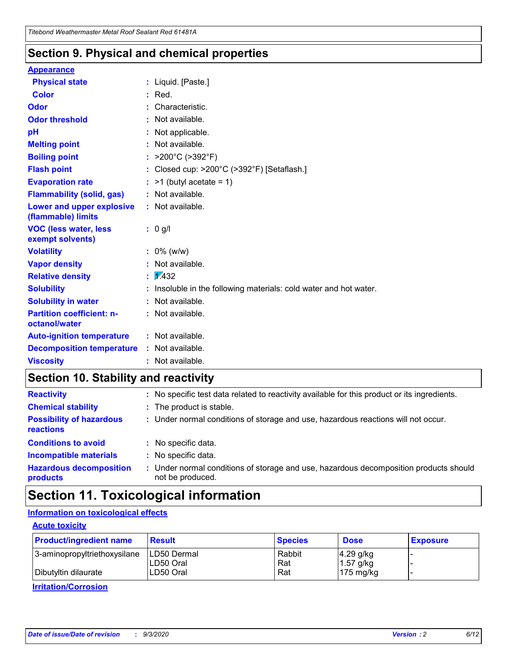### **Section 9. Physical and chemical properties**

#### **Appearance**

| <b>Physical state</b>                                  |   | : Liquid. [Paste.]                                              |
|--------------------------------------------------------|---|-----------------------------------------------------------------|
| <b>Color</b>                                           |   | Red.                                                            |
| Odor                                                   |   | Characteristic.                                                 |
| <b>Odor threshold</b>                                  | ÷ | Not available.                                                  |
| рH                                                     |   | Not applicable.                                                 |
| <b>Melting point</b>                                   |   | : Not available.                                                |
| <b>Boiling point</b>                                   |   | : $>200^{\circ}$ C ( $>392^{\circ}$ F)                          |
| <b>Flash point</b>                                     |   | Closed cup: >200°C (>392°F) [Setaflash.]                        |
| <b>Evaporation rate</b>                                |   | $:$ >1 (butyl acetate = 1)                                      |
| <b>Flammability (solid, gas)</b>                       |   | : Not available.                                                |
| <b>Lower and upper explosive</b><br>(flammable) limits |   | : Not available.                                                |
| <b>VOC (less water, less)</b><br>exempt solvents)      |   | : 0 g/l                                                         |
| <b>Volatility</b>                                      |   | $: 0\%$ (w/w)                                                   |
| <b>Vapor density</b>                                   |   | Not available.                                                  |
| <b>Relative density</b>                                |   | $\mathbf{1}$ $\mathbf{\sqrt{432}}$                              |
| <b>Solubility</b>                                      |   | Insoluble in the following materials: cold water and hot water. |
| <b>Solubility in water</b>                             |   | Not available.                                                  |
| <b>Partition coefficient: n-</b><br>octanol/water      |   | : Not available.                                                |
| <b>Auto-ignition temperature</b>                       |   | : Not available.                                                |
| <b>Decomposition temperature</b>                       |   | : Not available.                                                |
| <b>Viscosity</b>                                       |   | $:$ Not available.                                              |

### **Section 10. Stability and reactivity**

| <b>Reactivity</b>                            |    | : No specific test data related to reactivity available for this product or its ingredients.            |
|----------------------------------------------|----|---------------------------------------------------------------------------------------------------------|
| <b>Chemical stability</b>                    |    | : The product is stable.                                                                                |
| <b>Possibility of hazardous</b><br>reactions |    | : Under normal conditions of storage and use, hazardous reactions will not occur.                       |
| <b>Conditions to avoid</b>                   |    | : No specific data.                                                                                     |
| <b>Incompatible materials</b>                | ٠. | No specific data.                                                                                       |
| <b>Hazardous decomposition</b><br>products   | ÷. | Under normal conditions of storage and use, hazardous decomposition products should<br>not be produced. |

### **Section 11. Toxicological information**

#### **Information on toxicological effects**

#### **Acute toxicity**

| <b>Product/ingredient name</b> | <b>Result</b>           | <b>Species</b> | <b>Dose</b>                | <b>Exposure</b> |
|--------------------------------|-------------------------|----------------|----------------------------|-----------------|
| 3-aminopropyltriethoxysilane   | <b>ILD50 Dermal</b>     | Rabbit         | 4.29 g/kg                  |                 |
| Dibutyltin dilaurate           | ILD50 Oral<br>LD50 Oral | Rat<br>Rat     | $1.57$ g/kg<br>175 $mg/kg$ |                 |
|                                |                         |                |                            |                 |

**Irritation/Corrosion**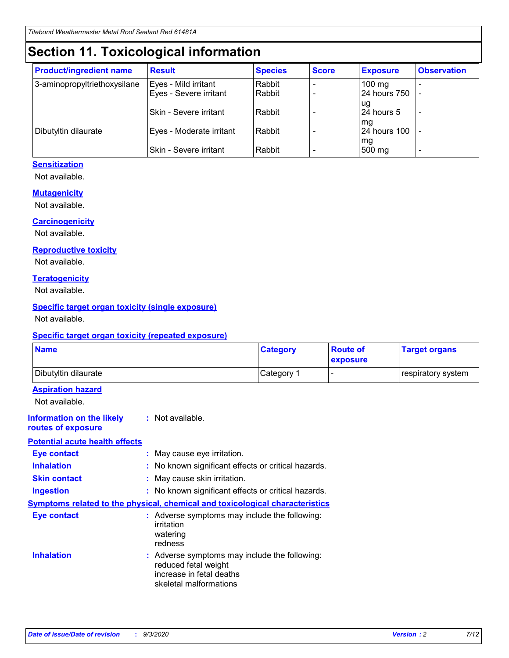# **Section 11. Toxicological information**

| <b>Product/ingredient name</b> | <b>Result</b>                 | <b>Species</b> | <b>Score</b> | <b>Exposure</b>    | <b>Observation</b>       |
|--------------------------------|-------------------------------|----------------|--------------|--------------------|--------------------------|
| 3-aminopropyltriethoxysilane   | Eyes - Mild irritant          | Rabbit         |              | $100 \text{ mg}$   |                          |
|                                | Eyes - Severe irritant        | Rabbit         |              | 24 hours 750       |                          |
|                                |                               |                |              | ug                 |                          |
|                                | <b>Skin - Severe irritant</b> | Rabbit         |              | 24 hours 5         | $\overline{\phantom{0}}$ |
| Dibutyltin dilaurate           | Eyes - Moderate irritant      | Rabbit         |              | mg<br>24 hours 100 |                          |
|                                |                               |                |              | mg                 |                          |
|                                | Skin - Severe irritant        | Rabbit         |              | 500 mg             | -                        |

#### **Sensitization**

Not available.

#### **Mutagenicity**

Not available.

#### **Carcinogenicity**

Not available.

#### **Reproductive toxicity**

Not available.

#### **Teratogenicity**

Not available.

#### **Specific target organ toxicity (single exposure)**

Not available.

#### **Specific target organ toxicity (repeated exposure)**

| <b>Name</b>                                                                         |                                                                            | <b>Category</b>                                     | <b>Route of</b><br>exposure | <b>Target organs</b> |  |  |
|-------------------------------------------------------------------------------------|----------------------------------------------------------------------------|-----------------------------------------------------|-----------------------------|----------------------|--|--|
| Dibutyltin dilaurate                                                                |                                                                            | Category 1                                          | -                           | respiratory system   |  |  |
| <b>Aspiration hazard</b><br>Not available.                                          |                                                                            |                                                     |                             |                      |  |  |
| <b>Information on the likely</b><br>routes of exposure                              | : Not available.                                                           |                                                     |                             |                      |  |  |
| <b>Potential acute health effects</b>                                               |                                                                            |                                                     |                             |                      |  |  |
| <b>Eye contact</b>                                                                  | : May cause eye irritation.                                                |                                                     |                             |                      |  |  |
| <b>Inhalation</b>                                                                   |                                                                            | : No known significant effects or critical hazards. |                             |                      |  |  |
| <b>Skin contact</b>                                                                 |                                                                            | : May cause skin irritation.                        |                             |                      |  |  |
| <b>Ingestion</b>                                                                    |                                                                            | : No known significant effects or critical hazards. |                             |                      |  |  |
| <b>Symptoms related to the physical, chemical and toxicological characteristics</b> |                                                                            |                                                     |                             |                      |  |  |
| <b>Eye contact</b>                                                                  | irritation<br>watering<br>redness                                          | : Adverse symptoms may include the following:       |                             |                      |  |  |
| <b>Inhalation</b>                                                                   | reduced fetal weight<br>increase in fetal deaths<br>skeletal malformations | : Adverse symptoms may include the following:       |                             |                      |  |  |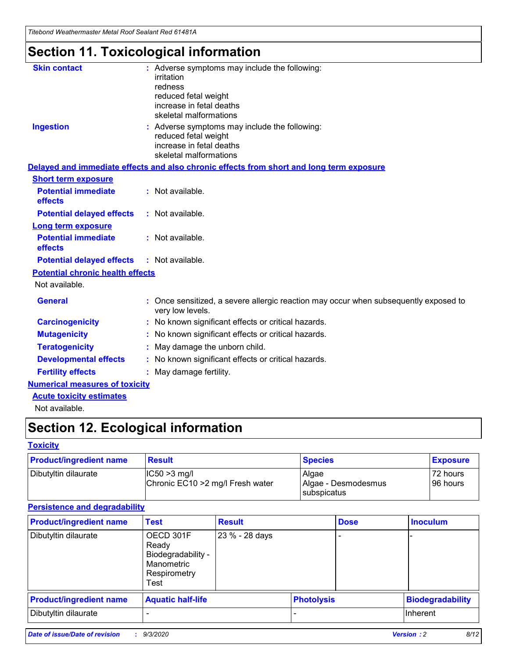*Titebond Weathermaster Metal Roof Sealant Red 61481A*

# **Section 11. Toxicological information**

| <b>Skin contact</b>                     | : Adverse symptoms may include the following:<br>irritation                                                                 |  |
|-----------------------------------------|-----------------------------------------------------------------------------------------------------------------------------|--|
|                                         | redness                                                                                                                     |  |
|                                         | reduced fetal weight<br>increase in fetal deaths                                                                            |  |
|                                         | skeletal malformations                                                                                                      |  |
| <b>Ingestion</b>                        | : Adverse symptoms may include the following:<br>reduced fetal weight<br>increase in fetal deaths<br>skeletal malformations |  |
|                                         | Delayed and immediate effects and also chronic effects from short and long term exposure                                    |  |
| <b>Short term exposure</b>              |                                                                                                                             |  |
| <b>Potential immediate</b><br>effects   | : Not available.                                                                                                            |  |
| <b>Potential delayed effects</b>        | : Not available.                                                                                                            |  |
| <b>Long term exposure</b>               |                                                                                                                             |  |
| <b>Potential immediate</b><br>effects   | : Not available.                                                                                                            |  |
| <b>Potential delayed effects</b>        | : Not available.                                                                                                            |  |
| <b>Potential chronic health effects</b> |                                                                                                                             |  |
| Not available.                          |                                                                                                                             |  |
| <b>General</b>                          | Once sensitized, a severe allergic reaction may occur when subsequently exposed to<br>very low levels.                      |  |
| <b>Carcinogenicity</b>                  | : No known significant effects or critical hazards.                                                                         |  |
| <b>Mutagenicity</b>                     | : No known significant effects or critical hazards.                                                                         |  |
| <b>Teratogenicity</b>                   | May damage the unborn child.                                                                                                |  |
| <b>Developmental effects</b>            | : No known significant effects or critical hazards.                                                                         |  |
| <b>Fertility effects</b>                | May damage fertility.                                                                                                       |  |
| <b>Numerical measures of toxicity</b>   |                                                                                                                             |  |
| <b>Acute toxicity estimates</b>         |                                                                                                                             |  |
| الملمانة المستنقط فالمرابط              |                                                                                                                             |  |

Not available.

# **Section 12. Ecological information**

#### **Toxicity**

| <b>Product/ingredient name</b> | <b>Result</b>                                       | <b>Species</b>               | <b>Exposure</b>       |
|--------------------------------|-----------------------------------------------------|------------------------------|-----------------------|
| Dibutyltin dilaurate           | $ IC50>3$ mg/l<br>Chronic EC10 > 2 mg/l Fresh water | Algae<br>Algae - Desmodesmus | 72 hours<br>196 hours |
|                                |                                                     | subspicatus                  |                       |

#### **Persistence and degradability**

| <b>Product/ingredient name</b> | <b>Test</b>                                                                    | <b>Result</b>  |  | <b>Dose</b>       | <b>Inoculum</b>         |
|--------------------------------|--------------------------------------------------------------------------------|----------------|--|-------------------|-------------------------|
| Dibutyltin dilaurate           | OECD 301F<br>Ready<br>Biodegradability -<br>Manometric<br>Respirometry<br>Test | 23 % - 28 days |  |                   |                         |
| <b>Product/ingredient name</b> | <b>Aquatic half-life</b>                                                       |                |  | <b>Photolysis</b> | <b>Biodegradability</b> |
| Dibutyltin dilaurate           |                                                                                |                |  |                   | <b>Inherent</b>         |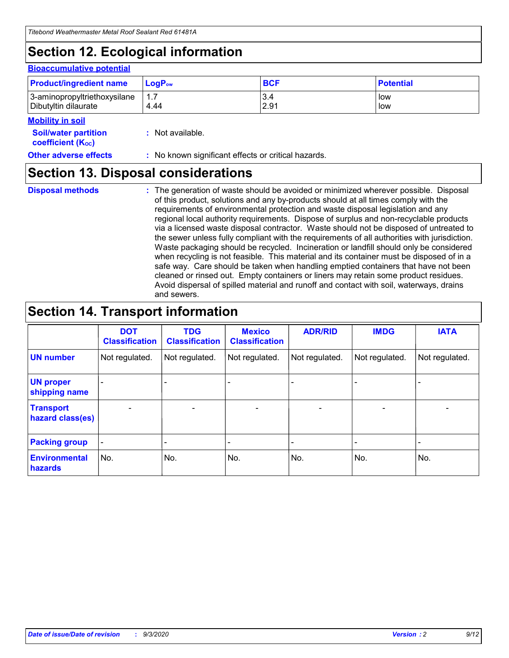# **Section 12. Ecological information**

#### **Bioaccumulative potential**

| <b>Product/ingredient name</b> | $LogPow$ | <b>BCF</b> | <b>Potential</b> |
|--------------------------------|----------|------------|------------------|
| 3-aminopropyltriethoxysilane   | 1.7      | 3.4        | low              |
| Dibutyltin dilaurate           | 4.44     | 2.91       | low              |

#### **Mobility in soil**

| <b>MODILLY III SOIL</b>                                       |                                                     |
|---------------------------------------------------------------|-----------------------------------------------------|
| <b>Soil/water partition</b><br>coefficient (K <sub>oc</sub> ) | : Not available.                                    |
| <b>Other adverse effects</b>                                  | : No known significant effects or critical hazards. |

### **Section 13. Disposal considerations**

**Disposal methods :**

The generation of waste should be avoided or minimized wherever possible. Disposal of this product, solutions and any by-products should at all times comply with the requirements of environmental protection and waste disposal legislation and any regional local authority requirements. Dispose of surplus and non-recyclable products via a licensed waste disposal contractor. Waste should not be disposed of untreated to the sewer unless fully compliant with the requirements of all authorities with jurisdiction. Waste packaging should be recycled. Incineration or landfill should only be considered when recycling is not feasible. This material and its container must be disposed of in a safe way. Care should be taken when handling emptied containers that have not been cleaned or rinsed out. Empty containers or liners may retain some product residues. Avoid dispersal of spilled material and runoff and contact with soil, waterways, drains and sewers.

### **Section 14. Transport information**

|                                      | <b>DOT</b><br><b>Classification</b> | <b>TDG</b><br><b>Classification</b> | <b>Mexico</b><br><b>Classification</b> | <b>ADR/RID</b>           | <b>IMDG</b>              | <b>IATA</b>    |
|--------------------------------------|-------------------------------------|-------------------------------------|----------------------------------------|--------------------------|--------------------------|----------------|
| <b>UN number</b>                     | Not regulated.                      | Not regulated.                      | Not regulated.                         | Not regulated.           | Not regulated.           | Not regulated. |
| <b>UN proper</b><br>shipping name    |                                     |                                     |                                        |                          |                          |                |
| <b>Transport</b><br>hazard class(es) | $\blacksquare$                      | $\overline{\phantom{0}}$            | $\overline{\phantom{a}}$               | $\overline{\phantom{0}}$ | $\overline{\phantom{a}}$ | $\blacksquare$ |
| <b>Packing group</b>                 |                                     |                                     |                                        |                          |                          | -              |
| <b>Environmental</b><br>hazards      | No.                                 | No.                                 | No.                                    | No.                      | No.                      | No.            |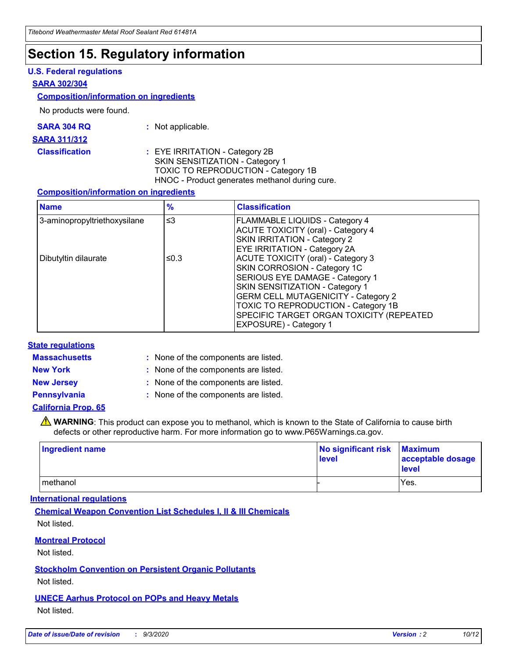### **Section 15. Regulatory information**

#### **U.S. Federal regulations**

#### **SARA 302/304**

#### **Composition/information on ingredients**

No products were found.

| SARA 304 RQ | Not applicable. |
|-------------|-----------------|
|-------------|-----------------|

#### **SARA 311/312**

#### **Classification :** EYE IRRITATION - Category 2B SKIN SENSITIZATION - Category 1 TOXIC TO REPRODUCTION - Category 1B HNOC - Product generates methanol during cure.

#### **Composition/information on ingredients**

| <b>Name</b>                  | $\frac{9}{6}$ | <b>Classification</b>                                                                                                                                                                                                                                                                                      |
|------------------------------|---------------|------------------------------------------------------------------------------------------------------------------------------------------------------------------------------------------------------------------------------------------------------------------------------------------------------------|
| 3-aminopropyltriethoxysilane | $\leq$ 3      | <b>FLAMMABLE LIQUIDS - Category 4</b><br><b>ACUTE TOXICITY (oral) - Category 4</b><br><b>SKIN IRRITATION - Category 2</b><br>EYE IRRITATION - Category 2A                                                                                                                                                  |
| Dibutyltin dilaurate         | ≤0.3          | <b>ACUTE TOXICITY (oral) - Category 3</b><br>SKIN CORROSION - Category 1C<br>SERIOUS EYE DAMAGE - Category 1<br>SKIN SENSITIZATION - Category 1<br><b>GERM CELL MUTAGENICITY - Category 2</b><br>TOXIC TO REPRODUCTION - Category 1B<br>SPECIFIC TARGET ORGAN TOXICITY (REPEATED<br>EXPOSURE) - Category 1 |

#### **State regulations**

**Massachusetts :**

: None of the components are listed.

**New York :** None of the components are listed.

**New Jersey :** None of the components are listed.

**Pennsylvania :** None of the components are listed.

#### **California Prop. 65**

WARNING: This product can expose you to methanol, which is known to the State of California to cause birth defects or other reproductive harm. For more information go to www.P65Warnings.ca.gov.

| Ingredient name | No significant risk Maximum<br>level | acceptable dosage<br><b>level</b> |
|-----------------|--------------------------------------|-----------------------------------|
| I methanol      |                                      | Yes.                              |

#### **International regulations**

**Chemical Weapon Convention List Schedules I, II & III Chemicals** Not listed.

#### **Montreal Protocol**

Not listed.

**Stockholm Convention on Persistent Organic Pollutants**

Not listed.

#### **UNECE Aarhus Protocol on POPs and Heavy Metals** Not listed.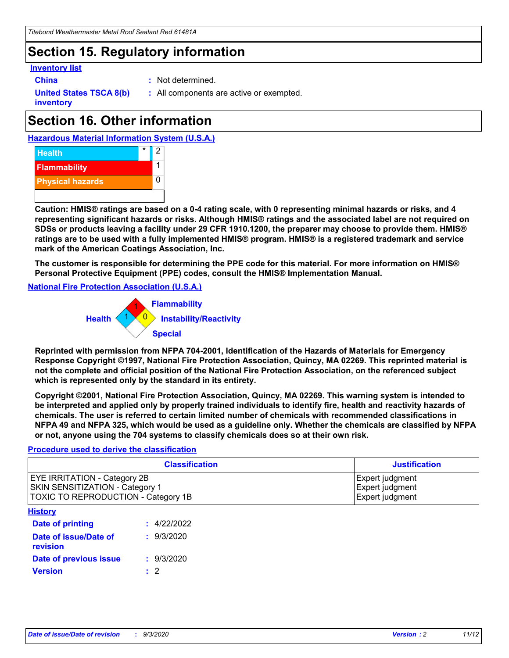### **Section 15. Regulatory information**

#### **Inventory list**

- 
- **China :** Not determined.

**United States TSCA 8(b) inventory**

**:** All components are active or exempted.

# **Section 16. Other information**





**Caution: HMIS® ratings are based on a 0-4 rating scale, with 0 representing minimal hazards or risks, and 4 representing significant hazards or risks. Although HMIS® ratings and the associated label are not required on SDSs or products leaving a facility under 29 CFR 1910.1200, the preparer may choose to provide them. HMIS® ratings are to be used with a fully implemented HMIS® program. HMIS® is a registered trademark and service mark of the American Coatings Association, Inc.**

**The customer is responsible for determining the PPE code for this material. For more information on HMIS® Personal Protective Equipment (PPE) codes, consult the HMIS® Implementation Manual.**

**National Fire Protection Association (U.S.A.)**



**Reprinted with permission from NFPA 704-2001, Identification of the Hazards of Materials for Emergency Response Copyright ©1997, National Fire Protection Association, Quincy, MA 02269. This reprinted material is not the complete and official position of the National Fire Protection Association, on the referenced subject which is represented only by the standard in its entirety.**

**Copyright ©2001, National Fire Protection Association, Quincy, MA 02269. This warning system is intended to be interpreted and applied only by properly trained individuals to identify fire, health and reactivity hazards of chemicals. The user is referred to certain limited number of chemicals with recommended classifications in NFPA 49 and NFPA 325, which would be used as a guideline only. Whether the chemicals are classified by NFPA or not, anyone using the 704 systems to classify chemicals does so at their own risk.**

#### **Procedure used to derive the classification**

| <b>Classification</b>                                                                                         | <b>Justification</b>                                  |
|---------------------------------------------------------------------------------------------------------------|-------------------------------------------------------|
| <b>EYE IRRITATION - Category 2B</b><br>SKIN SENSITIZATION - Category 1<br>TOXIC TO REPRODUCTION - Category 1B | Expert judgment<br>Expert judgment<br>Expert judgment |
| <b>History</b>                                                                                                |                                                       |

| <b>Date of printing</b>           | : 4/22/2022 |
|-----------------------------------|-------------|
| Date of issue/Date of<br>revision | : 9/3/2020  |
| Date of previous issue            | : 9/3/2020  |
| <b>Version</b>                    | $\cdot$ 2   |
|                                   |             |